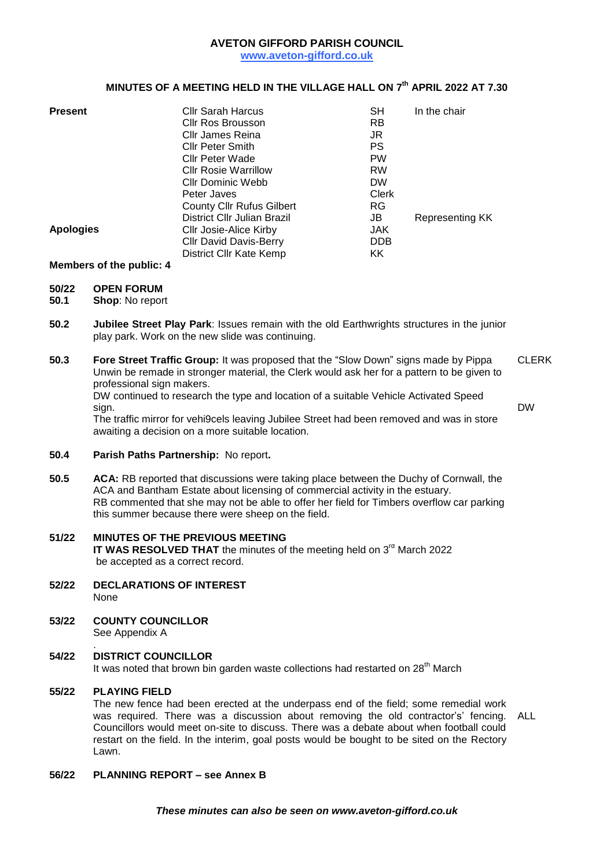## **AVETON GIFFORD PARISH COUNCIL**

**www.aveton-gifford.co.uk**

## **MINUTES OF A MEETING HELD IN THE VILLAGE HALL ON 7 th APRIL 2022 AT 7.30**

| <b>Present</b>   | <b>Cllr Sarah Harcus</b>         | <b>SH</b>  | In the chair    |
|------------------|----------------------------------|------------|-----------------|
|                  | Cllr Ros Brousson                | RB         |                 |
|                  | Cllr James Reina                 | JR         |                 |
|                  | <b>Cllr Peter Smith</b>          | PS         |                 |
|                  | Cllr Peter Wade                  | <b>PW</b>  |                 |
|                  | <b>CIIr Rosie Warrillow</b>      | <b>RW</b>  |                 |
|                  | Cllr Dominic Webb                | <b>DW</b>  |                 |
|                  | Peter Javes                      | Clerk      |                 |
|                  | <b>County Cllr Rufus Gilbert</b> | RG.        |                 |
|                  | District Cllr Julian Brazil      | JB         | Representing KK |
| <b>Apologies</b> | Cllr Josie-Alice Kirby           | JAK.       |                 |
|                  | <b>Cllr David Davis-Berry</b>    | <b>DDB</b> |                 |
|                  | District Cllr Kate Kemp          | ΚK         |                 |

# **Members of the public: 4**

# **50/22 OPEN FORUM**

- **50.1 Shop**: No report
- **50.2 Jubilee Street Play Park**: Issues remain with the old Earthwrights structures in the junior play park. Work on the new slide was continuing.
- **50.3 Fore Street Traffic Group:** It was proposed that the "Slow Down" signs made by Pippa Unwin be remade in stronger material, the Clerk would ask her for a pattern to be given to professional sign makers. DW continued to research the type and location of a suitable Vehicle Activated Speed CLERK

sign.

DW

The traffic mirror for vehi9cels leaving Jubilee Street had been removed and was in store awaiting a decision on a more suitable location.

- **50.4 Parish Paths Partnership:** No report**.**
- **50.5 ACA:** RB reported that discussions were taking place between the Duchy of Cornwall, the ACA and Bantham Estate about licensing of commercial activity in the estuary. RB commented that she may not be able to offer her field for Timbers overflow car parking this summer because there were sheep on the field.
- **51/22 MINUTES OF THE PREVIOUS MEETING** IT WAS RESOLVED THAT the minutes of the meeting held on 3<sup>rd</sup> March 2022 be accepted as a correct record.
- **52/22 DECLARATIONS OF INTEREST** None
- **53/22 COUNTY COUNCILLOR** See Appendix A

#### . **54/22 DISTRICT COUNCILLOR**

It was noted that brown bin garden waste collections had restarted on 28<sup>th</sup> March

#### **55/22 PLAYING FIELD**

The new fence had been erected at the underpass end of the field; some remedial work was required. There was a discussion about removing the old contractor's' fencing. Councillors would meet on-site to discuss. There was a debate about when football could restart on the field. In the interim, goal posts would be bought to be sited on the Rectory Lawn. ALL

# **56/22 PLANNING REPORT – see Annex B**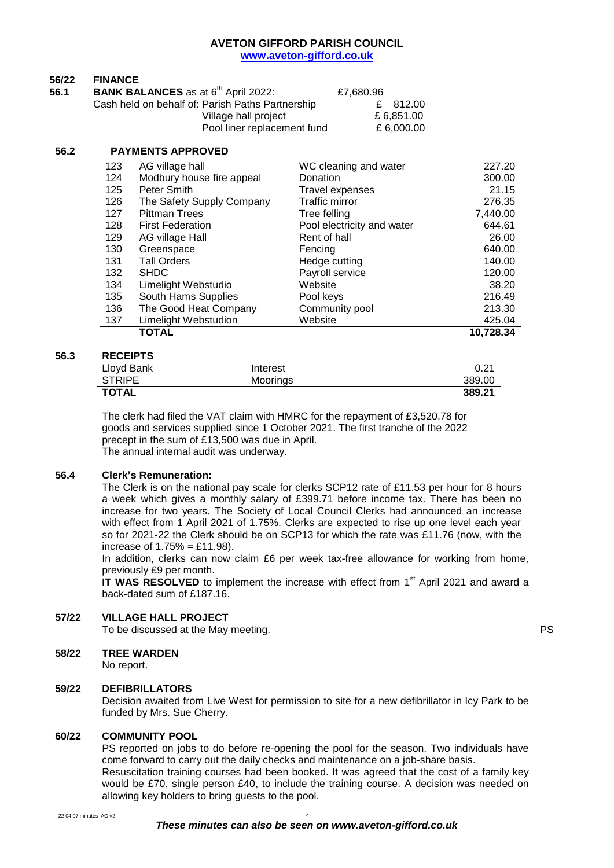### **AVETON GIFFORD PARISH COUNCIL www.aveton-gifford.co.uk**

| 56/22 | <b>FINANCE</b>                                         |            |
|-------|--------------------------------------------------------|------------|
| 56.1  | <b>BANK BALANCES</b> as at 6 <sup>th</sup> April 2022: | £7.680.96  |
|       | Cash held on behalf of: Parish Paths Partnership       | £ 812.00   |
|       | Village hall project                                   | £6.851.00  |
|       | Pool liner replacement fund                            | £ 6.000.00 |
|       |                                                        |            |

## **56.2 PAYMENTS APPROVED**

|     | <b>TOTAL</b>              |                            | 10,728.34 |
|-----|---------------------------|----------------------------|-----------|
| 137 | Limelight Webstudion      | Website                    | 425.04    |
| 136 | The Good Heat Company     | Community pool             | 213.30    |
| 135 | South Hams Supplies       | Pool keys                  | 216.49    |
| 134 | Limelight Webstudio       | Website                    | 38.20     |
| 132 | <b>SHDC</b>               | Payroll service            | 120.00    |
| 131 | <b>Tall Orders</b>        | Hedge cutting              | 140.00    |
| 130 | Greenspace                | Fencing                    | 640.00    |
| 129 | AG village Hall           | Rent of hall               | 26.00     |
| 128 | <b>First Federation</b>   | Pool electricity and water | 644.61    |
| 127 | <b>Pittman Trees</b>      | Tree felling               | 7,440.00  |
| 126 | The Safety Supply Company | <b>Traffic mirror</b>      | 276.35    |
| 125 | Peter Smith               | Travel expenses            | 21.15     |
| 124 | Modbury house fire appeal | Donation                   | 300.00    |
| 123 | AG village hall           | WC cleaning and water      | 227.20    |
|     |                           |                            |           |

## **56.3 RECEIPTS**

| .             |          |        |
|---------------|----------|--------|
| Lloyd Bank    | Interest | 0.21   |
| <b>STRIPE</b> | Moorings | 389.00 |
| <b>TOTAL</b>  |          | 389.21 |

The clerk had filed the VAT claim with HMRC for the repayment of £3,520.78 for goods and services supplied since 1 October 2021. The first tranche of the 2022 precept in the sum of £13,500 was due in April. The annual internal audit was underway.

#### **56.4 Clerk's Remuneration:**

The Clerk is on the national pay scale for clerks SCP12 rate of £11.53 per hour for 8 hours a week which gives a monthly salary of £399.71 before income tax. There has been no increase for two years. The Society of Local Council Clerks had announced an increase with effect from 1 April 2021 of 1.75%. Clerks are expected to rise up one level each year so for 2021-22 the Clerk should be on SCP13 for which the rate was £11.76 (now, with the increase of  $1.75% = £11.98$ ).

In addition, clerks can now claim £6 per week tax-free allowance for working from home, previously £9 per month.

**IT WAS RESOLVED** to implement the increase with effect from 1<sup>st</sup> April 2021 and award a back-dated sum of £187.16.

## **57/22 VILLAGE HALL PROJECT**

To be discussed at the May meeting. The May meeting of the May 1999 Section 1.1 and 2.1 and 2.1 and 2.1 and 2.1 and 2.1 and 2.1 and 2.1 and 2.1 and 2.1 and 2.1 and 2.1 and 2.1 and 2.1 and 2.1 and 2.1 and 2.1 and 2.1 and 2.

#### **58/22 TREE WARDEN**

No report.

#### **59/22 DEFIBRILLATORS**

Decision awaited from Live West for permission to site for a new defibrillator in Icy Park to be funded by Mrs. Sue Cherry.

#### **60/22 COMMUNITY POOL**

PS reported on jobs to do before re-opening the pool for the season. Two individuals have come forward to carry out the daily checks and maintenance on a job-share basis. Resuscitation training courses had been booked. It was agreed that the cost of a family key would be £70, single person £40, to include the training course. A decision was needed on allowing key holders to bring guests to the pool.